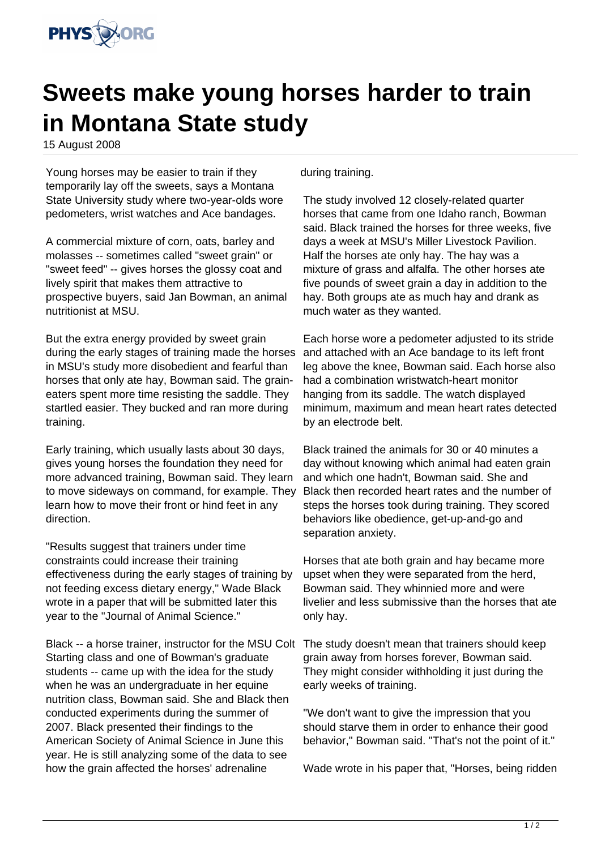

## **Sweets make young horses harder to train in Montana State study**

15 August 2008

Young horses may be easier to train if they temporarily lay off the sweets, says a Montana State University study where two-year-olds wore pedometers, wrist watches and Ace bandages.

A commercial mixture of corn, oats, barley and molasses -- sometimes called "sweet grain" or "sweet feed" -- gives horses the glossy coat and lively spirit that makes them attractive to prospective buyers, said Jan Bowman, an animal nutritionist at MSU.

But the extra energy provided by sweet grain during the early stages of training made the horses in MSU's study more disobedient and fearful than horses that only ate hay, Bowman said. The graineaters spent more time resisting the saddle. They startled easier. They bucked and ran more during training.

Early training, which usually lasts about 30 days, gives young horses the foundation they need for more advanced training, Bowman said. They learn to move sideways on command, for example. They learn how to move their front or hind feet in any direction.

"Results suggest that trainers under time constraints could increase their training effectiveness during the early stages of training by not feeding excess dietary energy," Wade Black wrote in a paper that will be submitted later this year to the "Journal of Animal Science."

Black -- a horse trainer, instructor for the MSU Colt The study doesn't mean that trainers should keep Starting class and one of Bowman's graduate students -- came up with the idea for the study when he was an undergraduate in her equine nutrition class, Bowman said. She and Black then conducted experiments during the summer of 2007. Black presented their findings to the American Society of Animal Science in June this year. He is still analyzing some of the data to see how the grain affected the horses' adrenaline

during training.

The study involved 12 closely-related quarter horses that came from one Idaho ranch, Bowman said. Black trained the horses for three weeks, five days a week at MSU's Miller Livestock Pavilion. Half the horses ate only hay. The hay was a mixture of grass and alfalfa. The other horses ate five pounds of sweet grain a day in addition to the hay. Both groups ate as much hay and drank as much water as they wanted.

Each horse wore a pedometer adjusted to its stride and attached with an Ace bandage to its left front leg above the knee, Bowman said. Each horse also had a combination wristwatch-heart monitor hanging from its saddle. The watch displayed minimum, maximum and mean heart rates detected by an electrode belt.

Black trained the animals for 30 or 40 minutes a day without knowing which animal had eaten grain and which one hadn't, Bowman said. She and Black then recorded heart rates and the number of steps the horses took during training. They scored behaviors like obedience, get-up-and-go and separation anxiety.

Horses that ate both grain and hay became more upset when they were separated from the herd, Bowman said. They whinnied more and were livelier and less submissive than the horses that ate only hay.

grain away from horses forever, Bowman said. They might consider withholding it just during the early weeks of training.

"We don't want to give the impression that you should starve them in order to enhance their good behavior," Bowman said. "That's not the point of it."

Wade wrote in his paper that, "Horses, being ridden